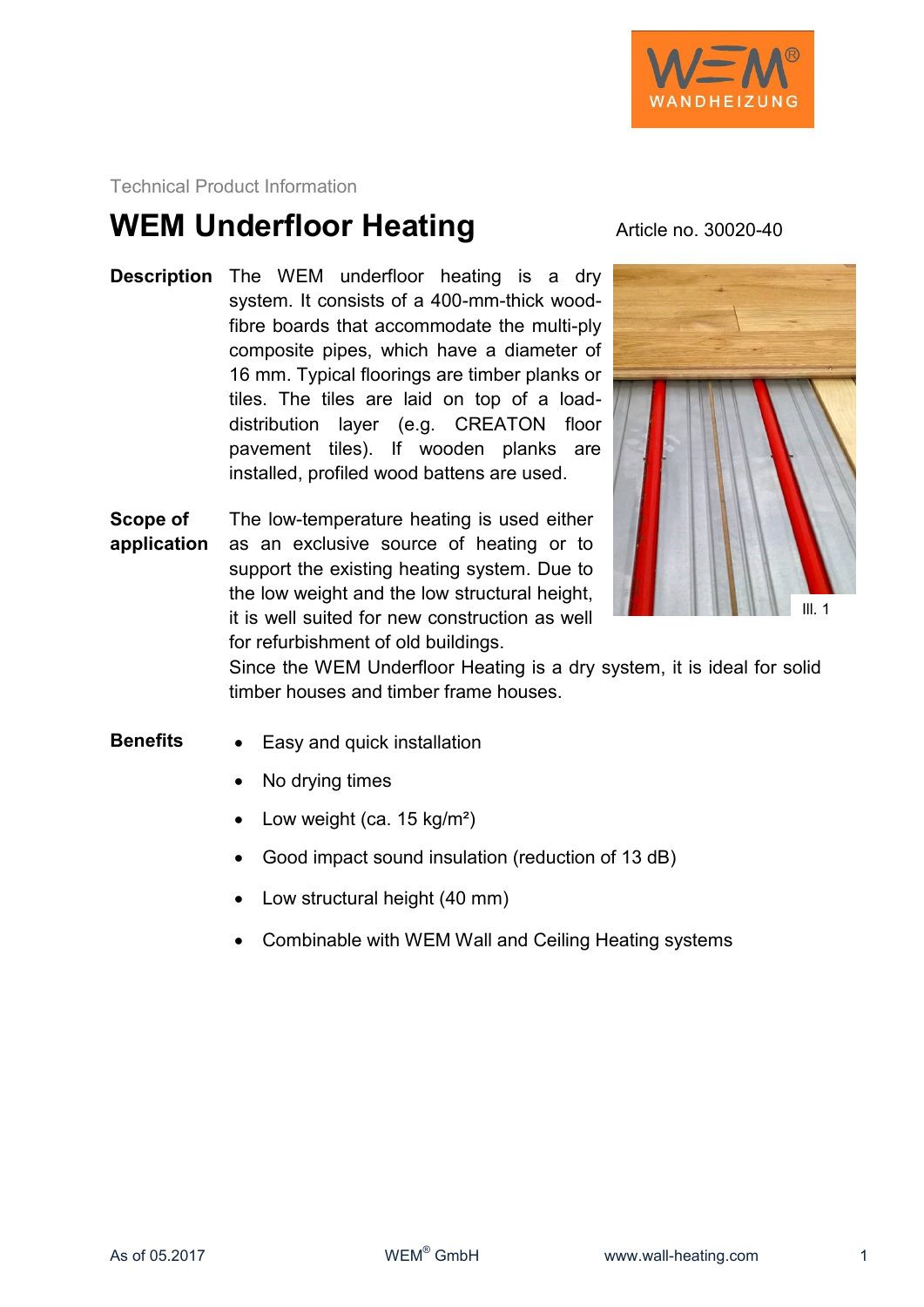

Technical Product Information

## **WEM Underfloor Heating** Article no. 30020-40

- **Description** The WEM underfloor heating is a dry system. It consists of a 400-mm-thick woodfibre boards that accommodate the multi-ply composite pipes, which have a diameter of 16 mm. Typical floorings are timber planks or tiles. The tiles are laid on top of a loaddistribution layer (e.g. CREATON floor pavement tiles). If wooden planks are installed, profiled wood battens are used.
- **Scope of application** The low-temperature heating is used either as an exclusive source of heating or to support the existing heating system. Due to the low weight and the low structural height, it is well suited for new construction as well for refurbishment of old buildings.



Since the WEM Underfloor Heating is a dry system, it is ideal for solid timber houses and timber frame houses.

- **Benefits** Easy and quick installation
	- No drying times
	- Low weight (ca. 15 kg/m<sup>2</sup>)
	- Good impact sound insulation (reduction of 13 dB)
	- Low structural height (40 mm)
	- Combinable with WEM Wall and Ceiling Heating systems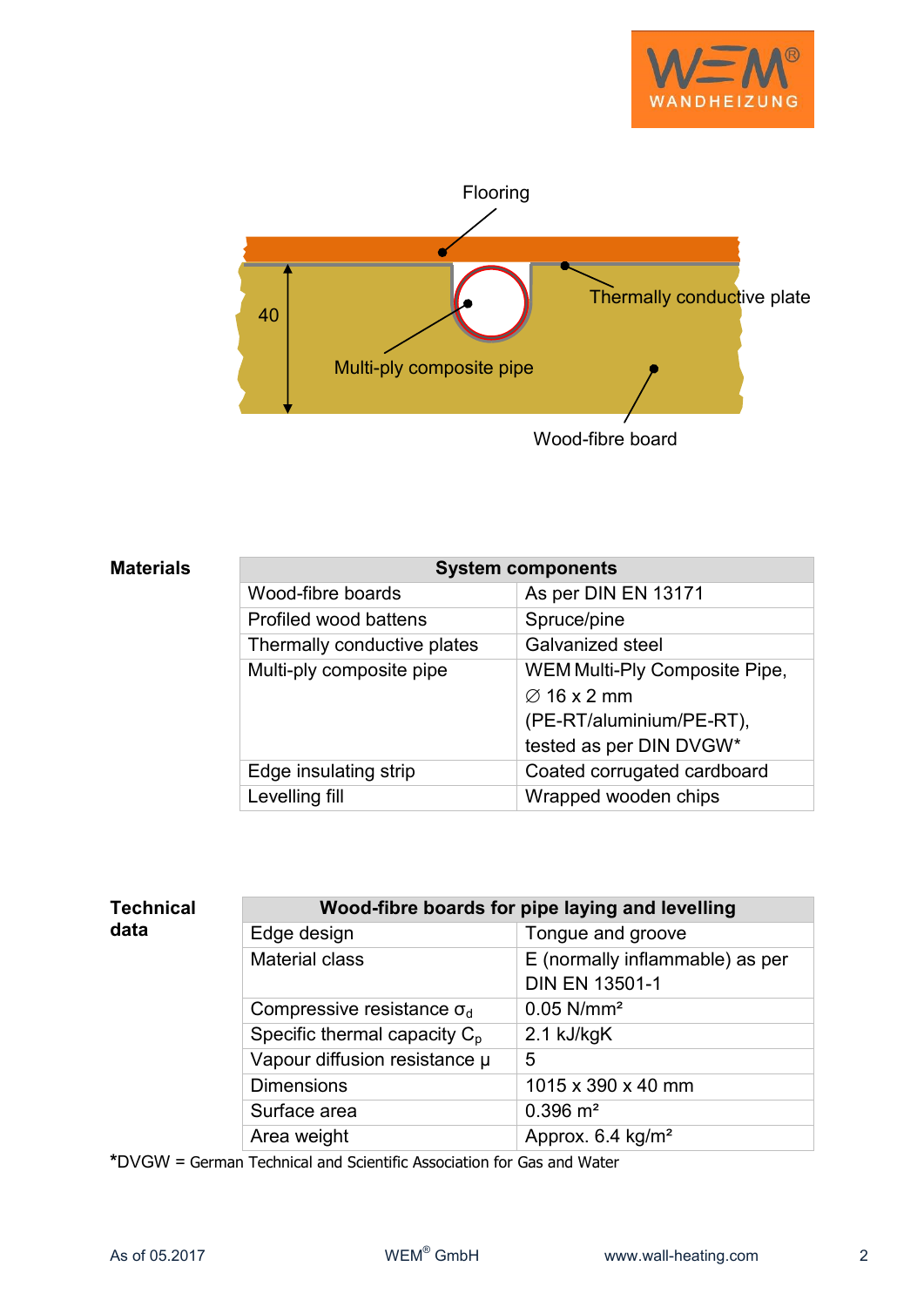



**Materials** 

| <b>System components</b>    |                               |  |
|-----------------------------|-------------------------------|--|
| Wood-fibre boards           | As per DIN EN 13171           |  |
| Profiled wood battens       | Spruce/pine                   |  |
| Thermally conductive plates | <b>Galvanized steel</b>       |  |
| Multi-ply composite pipe    | WEM Multi-Ply Composite Pipe, |  |
|                             | $\varnothing$ 16 x 2 mm       |  |
|                             | (PE-RT/aluminium/PE-RT),      |  |
|                             | tested as per DIN DVGW*       |  |
| Edge insulating strip       | Coated corrugated cardboard   |  |
| Levelling fill              | Wrapped wooden chips          |  |

| <b>Technical</b> |  |
|------------------|--|
| data             |  |

| Wood-fibre boards for pipe laying and levelling |                                 |  |  |
|-------------------------------------------------|---------------------------------|--|--|
| Edge design                                     | Tongue and groove               |  |  |
| <b>Material class</b>                           | E (normally inflammable) as per |  |  |
|                                                 | <b>DIN EN 13501-1</b>           |  |  |
| Compressive resistance $\sigma_d$               | $0.05$ N/mm <sup>2</sup>        |  |  |
| Specific thermal capacity $C_p$                 | 2.1 kJ/kgK                      |  |  |
| Vapour diffusion resistance µ                   | 5                               |  |  |
| <b>Dimensions</b>                               | 1015 x 390 x 40 mm              |  |  |
| Surface area                                    | $0.396$ m <sup>2</sup>          |  |  |
| Area weight                                     | Approx. 6.4 kg/m <sup>2</sup>   |  |  |

**\***DVGW = German Technical and Scientific Association for Gas and Water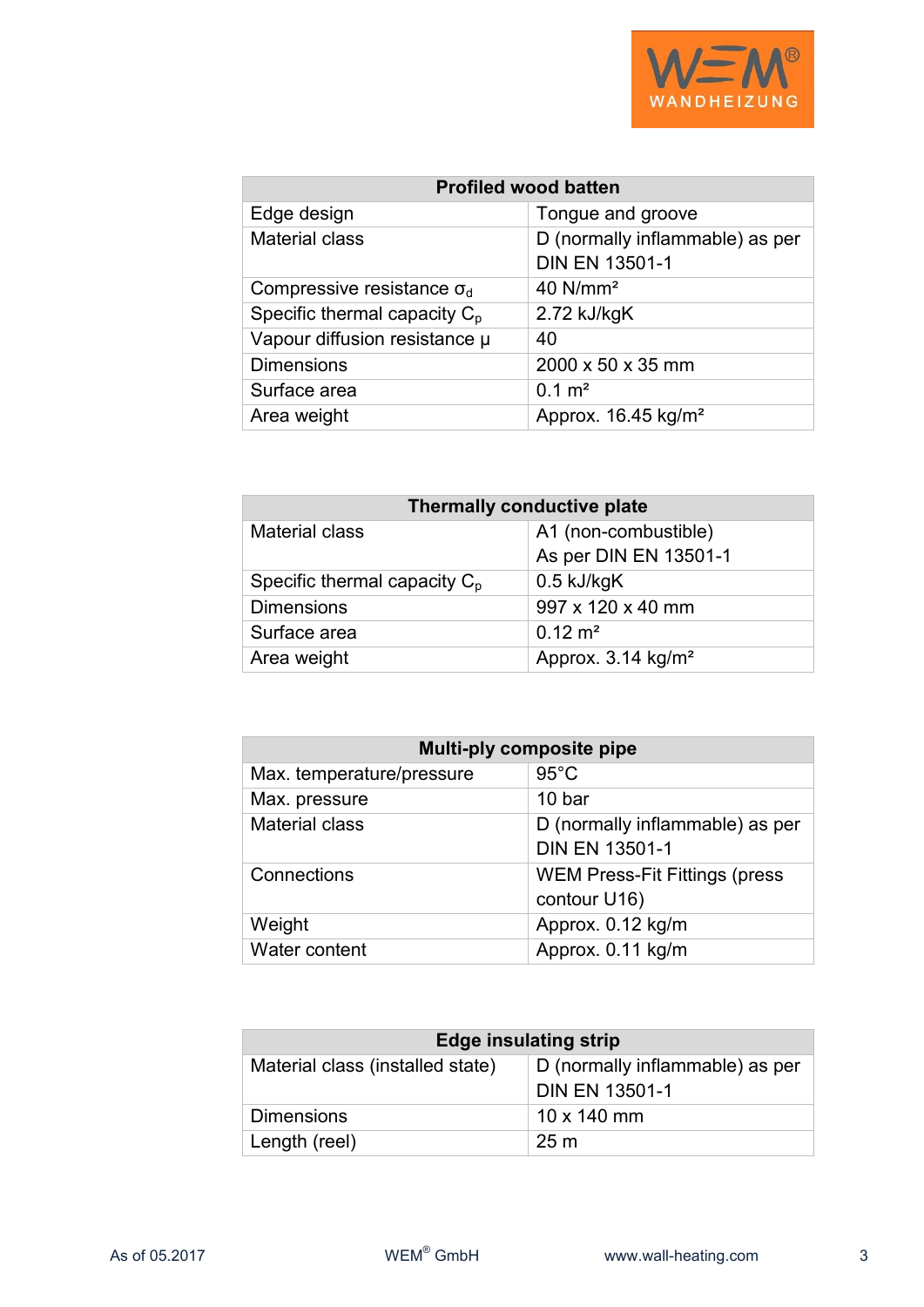

| <b>Profiled wood batten</b>       |                                                          |  |  |
|-----------------------------------|----------------------------------------------------------|--|--|
| Edge design                       | Tongue and groove                                        |  |  |
| <b>Material class</b>             | D (normally inflammable) as per<br><b>DIN EN 13501-1</b> |  |  |
| Compressive resistance $\sigma_d$ | $40$ N/mm <sup>2</sup>                                   |  |  |
| Specific thermal capacity $C_p$   | 2.72 kJ/kgK                                              |  |  |
| Vapour diffusion resistance µ     | 40                                                       |  |  |
| <b>Dimensions</b>                 | 2000 x 50 x 35 mm                                        |  |  |
| Surface area                      | $0.1 \text{ m}^2$                                        |  |  |
| Area weight                       | Approx. $16.45$ kg/m <sup>2</sup>                        |  |  |

| Thermally conductive plate      |                                  |  |  |
|---------------------------------|----------------------------------|--|--|
| <b>Material class</b>           | A1 (non-combustible)             |  |  |
|                                 | As per DIN EN 13501-1            |  |  |
| Specific thermal capacity $C_p$ | $0.5$ kJ/kgK                     |  |  |
| <b>Dimensions</b>               | 997 x 120 x 40 mm                |  |  |
| Surface area                    | $0.12 \text{ m}^2$               |  |  |
| Area weight                     | Approx. $3.14$ kg/m <sup>2</sup> |  |  |

| Multi-ply composite pipe  |                                                          |  |
|---------------------------|----------------------------------------------------------|--|
| Max. temperature/pressure | $95^{\circ}$ C                                           |  |
| Max. pressure             | 10 bar                                                   |  |
| <b>Material class</b>     | D (normally inflammable) as per<br><b>DIN EN 13501-1</b> |  |
| Connections               | <b>WEM Press-Fit Fittings (press)</b><br>contour U16)    |  |
| Weight                    | Approx. 0.12 kg/m                                        |  |
| Water content             | Approx. 0.11 kg/m                                        |  |

| <b>Edge insulating strip</b>     |                                                          |  |  |
|----------------------------------|----------------------------------------------------------|--|--|
| Material class (installed state) | D (normally inflammable) as per<br><b>DIN EN 13501-1</b> |  |  |
| <b>Dimensions</b>                | $10 \times 140$ mm                                       |  |  |
| Length (reel)                    | 25 <sub>m</sub>                                          |  |  |